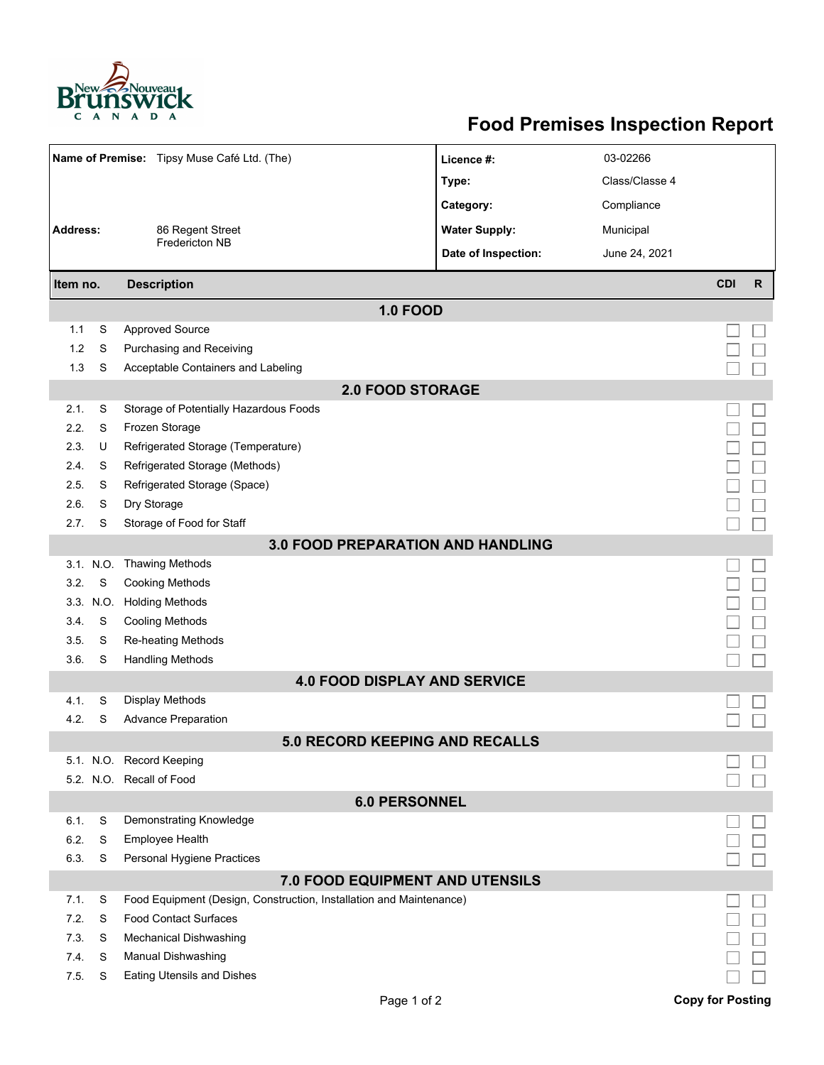

## **Food Premises Inspection Report**

| Name of Premise: Tipsy Muse Café Ltd. (The) |           |                                                                     | Licence #:           | 03-02266       |                         |              |  |  |  |  |
|---------------------------------------------|-----------|---------------------------------------------------------------------|----------------------|----------------|-------------------------|--------------|--|--|--|--|
|                                             |           |                                                                     | Type:                | Class/Classe 4 |                         |              |  |  |  |  |
|                                             |           |                                                                     | Category:            | Compliance     |                         |              |  |  |  |  |
| <b>Address:</b>                             |           | 86 Regent Street                                                    | <b>Water Supply:</b> | Municipal      |                         |              |  |  |  |  |
|                                             |           | Fredericton NB                                                      | Date of Inspection:  | June 24, 2021  |                         |              |  |  |  |  |
|                                             |           |                                                                     |                      |                |                         |              |  |  |  |  |
| Item no.                                    |           | <b>Description</b>                                                  |                      |                | <b>CDI</b>              | $\mathsf{R}$ |  |  |  |  |
|                                             |           | <b>1.0 FOOD</b>                                                     |                      |                |                         |              |  |  |  |  |
| 1.1                                         | S         | <b>Approved Source</b>                                              |                      |                |                         |              |  |  |  |  |
| 1.2                                         | S         | Purchasing and Receiving                                            |                      |                |                         |              |  |  |  |  |
| 1.3                                         | S         | Acceptable Containers and Labeling                                  |                      |                |                         |              |  |  |  |  |
| <b>2.0 FOOD STORAGE</b>                     |           |                                                                     |                      |                |                         |              |  |  |  |  |
| 2.1.                                        | S         | Storage of Potentially Hazardous Foods                              |                      |                |                         |              |  |  |  |  |
| 2.2.                                        | S         | Frozen Storage                                                      |                      |                |                         |              |  |  |  |  |
| 2.3.                                        | U         | Refrigerated Storage (Temperature)                                  |                      |                |                         |              |  |  |  |  |
| 2.4.                                        | S         | Refrigerated Storage (Methods)                                      |                      |                |                         |              |  |  |  |  |
| 2.5.                                        | S         | Refrigerated Storage (Space)                                        |                      |                |                         |              |  |  |  |  |
| 2.6.                                        | S         | Dry Storage                                                         |                      |                |                         |              |  |  |  |  |
| 2.7.                                        | S         | Storage of Food for Staff                                           |                      |                |                         |              |  |  |  |  |
| <b>3.0 FOOD PREPARATION AND HANDLING</b>    |           |                                                                     |                      |                |                         |              |  |  |  |  |
|                                             | 3.1. N.O. | <b>Thawing Methods</b>                                              |                      |                |                         |              |  |  |  |  |
| 3.2.                                        | S         | <b>Cooking Methods</b>                                              |                      |                |                         |              |  |  |  |  |
|                                             | 3.3. N.O. | <b>Holding Methods</b>                                              |                      |                |                         |              |  |  |  |  |
| 3.4.                                        | S         | <b>Cooling Methods</b>                                              |                      |                |                         |              |  |  |  |  |
| 3.5.                                        | S         | Re-heating Methods                                                  |                      |                |                         |              |  |  |  |  |
| 3.6.                                        | S         | <b>Handling Methods</b>                                             |                      |                |                         |              |  |  |  |  |
|                                             |           | <b>4.0 FOOD DISPLAY AND SERVICE</b>                                 |                      |                |                         |              |  |  |  |  |
| 4.1.                                        | S         | Display Methods                                                     |                      |                |                         |              |  |  |  |  |
| 4.2.                                        | S         | <b>Advance Preparation</b>                                          |                      |                |                         |              |  |  |  |  |
|                                             |           | <b>5.0 RECORD KEEPING AND RECALLS</b>                               |                      |                |                         |              |  |  |  |  |
|                                             |           | 5.1. N.O. Record Keeping                                            |                      |                |                         |              |  |  |  |  |
|                                             |           | 5.2. N.O. Recall of Food                                            |                      |                |                         |              |  |  |  |  |
| <b>6.0 PERSONNEL</b>                        |           |                                                                     |                      |                |                         |              |  |  |  |  |
| 6.1.                                        | S         | Demonstrating Knowledge                                             |                      |                |                         |              |  |  |  |  |
| 6.2.                                        | S         | Employee Health                                                     |                      |                |                         |              |  |  |  |  |
| 6.3.                                        | S         | Personal Hygiene Practices                                          |                      |                |                         |              |  |  |  |  |
| <b>7.0 FOOD EQUIPMENT AND UTENSILS</b>      |           |                                                                     |                      |                |                         |              |  |  |  |  |
| 7.1.                                        | S         | Food Equipment (Design, Construction, Installation and Maintenance) |                      |                |                         |              |  |  |  |  |
| 7.2.                                        | S         | <b>Food Contact Surfaces</b>                                        |                      |                |                         |              |  |  |  |  |
| 7.3                                         | S         | <b>Mechanical Dishwashing</b>                                       |                      |                |                         |              |  |  |  |  |
| 7.4.                                        | S         | Manual Dishwashing                                                  |                      |                |                         |              |  |  |  |  |
| 7.5.                                        | S         | <b>Eating Utensils and Dishes</b>                                   |                      |                |                         |              |  |  |  |  |
|                                             |           | Page 1 of 2                                                         |                      |                | <b>Copy for Posting</b> |              |  |  |  |  |